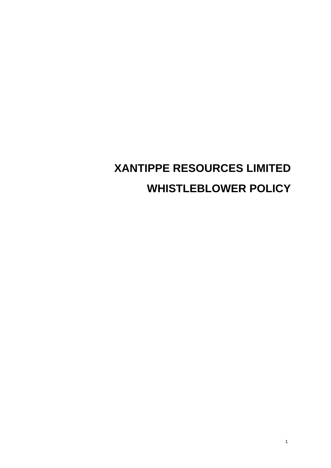# **XANTIPPE RESOURCES LIMITED WHISTLEBLOWER POLICY**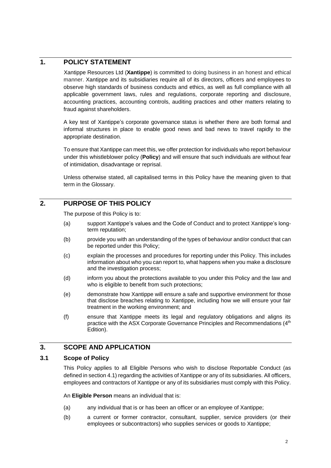# **1. POLICY STATEMENT**

Xantippe Resources Ltd (**Xantippe**) is committed to doing business in an honest and ethical manner. Xantippe and its subsidiaries require all of its directors, officers and employees to observe high standards of business conducts and ethics, as well as full compliance with all applicable government laws, rules and regulations, corporate reporting and disclosure, accounting practices, accounting controls, auditing practices and other matters relating to fraud against shareholders.

A key test of Xantippe's corporate governance status is whether there are both formal and informal structures in place to enable good news and bad news to travel rapidly to the appropriate destination.

To ensure that Xantippe can meet this, we offer protection for individuals who report behaviour under this whistleblower policy (**Policy**) and will ensure that such individuals are without fear of intimidation, disadvantage or reprisal.

Unless otherwise stated, all capitalised terms in this Policy have the meaning given to that term in the Glossary.

# **2. PURPOSE OF THIS POLICY**

The purpose of this Policy is to:

- (a) support Xantippe's values and the Code of Conduct and to protect Xantippe's longterm reputation;
- (b) provide you with an understanding of the types of behaviour and/or conduct that can be reported under this Policy;
- (c) explain the processes and procedures for reporting under this Policy. This includes information about who you can report to, what happens when you make a disclosure and the investigation process;
- (d) inform you about the protections available to you under this Policy and the law and who is eligible to benefit from such protections;
- (e) demonstrate how Xantippe will ensure a safe and supportive environment for those that disclose breaches relating to Xantippe, including how we will ensure your fair treatment in the working environment; and
- (f) ensure that Xantippe meets its legal and regulatory obligations and aligns its practice with the ASX Corporate Governance Principles and Recommendations (4<sup>th</sup>) Edition).

# **3. SCOPE AND APPLICATION**

## **3.1 Scope of Policy**

This Policy applies to all Eligible Persons who wish to disclose Reportable Conduct (as defined in sectio[n 4.1\)](#page-2-0) regarding the activities of Xantippe or any of its subsidiaries. All officers, employees and contractors of Xantippe or any of its subsidiaries must comply with this Policy.

An **Eligible Person** means an individual that is:

- (a) any individual that is or has been an officer or an employee of Xantippe;
- (b) a current or former contractor, consultant, supplier, service providers (or their employees or subcontractors) who supplies services or goods to Xantippe;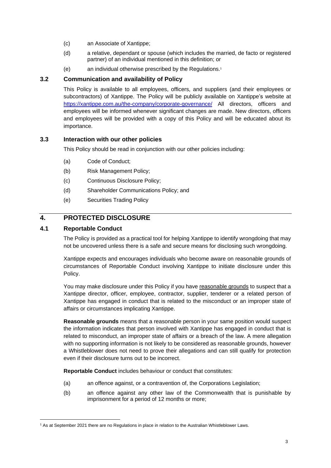- (c) an Associate of Xantippe;
- (d) a relative, dependant or spouse (which includes the married, de facto or registered partner) of an individual mentioned in this definition; or
- (e) an individual otherwise prescribed by the Regulations.<sup>1</sup>

## **3.2 Communication and availability of Policy**

This Policy is available to all employees, officers, and suppliers (and their employees or subcontractors) of Xantippe. The Policy will be publicly available on Xantippe's website at <https://xantippe.com.au/the-company/corporate-governance/> All directors, officers and employees will be informed whenever significant changes are made. New directors, officers and employees will be provided with a copy of this Policy and will be educated about its importance.

## **3.3 Interaction with our other policies**

This Policy should be read in conjunction with our other policies including:

- (a) Code of Conduct;
- (b) Risk Management Policy;
- (c) Continuous Disclosure Policy;
- (d) Shareholder Communications Policy; and
- (e) Securities Trading Policy

# **4. PROTECTED DISCLOSURE**

## <span id="page-2-0"></span>**4.1 Reportable Conduct**

The Policy is provided as a practical tool for helping Xantippe to identify wrongdoing that may not be uncovered unless there is a safe and secure means for disclosing such wrongdoing.

Xantippe expects and encourages individuals who become aware on reasonable grounds of circumstances of Reportable Conduct involving Xantippe to initiate disclosure under this Policy.

You may make disclosure under this Policy if you have reasonable grounds to suspect that a Xantippe director, officer, employee, contractor, supplier, tenderer or a related person of Xantippe has engaged in conduct that is related to the misconduct or an improper state of affairs or circumstances implicating Xantippe.

**Reasonable grounds** means that a reasonable person in your same position would suspect the information indicates that person involved with Xantippe has engaged in conduct that is related to misconduct, an improper state of affairs or a breach of the law. A mere allegation with no supporting information is not likely to be considered as reasonable grounds, however a Whistleblower does not need to prove their allegations and can still qualify for protection even if their disclosure turns out to be incorrect.

**Reportable Conduct** includes behaviour or conduct that constitutes:

- (a) an offence against, or a contravention of, the Corporations Legislation;
- (b) an offence against any other law of the Commonwealth that is punishable by imprisonment for a period of 12 months or more;

<sup>&</sup>lt;sup>1</sup> As at September 2021 there are no Regulations in place in relation to the Australian Whistleblower Laws.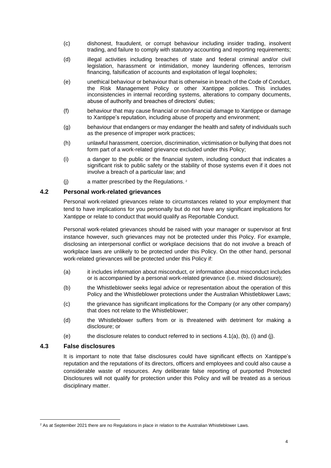- (c) dishonest, fraudulent, or corrupt behaviour including insider trading, insolvent trading, and failure to comply with statutory accounting and reporting requirements;
- (d) illegal activities including breaches of state and federal criminal and/or civil legislation, harassment or intimidation, money laundering offences, terrorism financing, falsification of accounts and exploitation of legal loopholes;
- (e) unethical behaviour or behaviour that is otherwise in breach of the Code of Conduct, the Risk Management Policy or other Xantippe policies. This includes inconsistencies in internal recording systems, alterations to company documents, abuse of authority and breaches of directors' duties;
- (f) behaviour that may cause financial or non-financial damage to Xantippe or damage to Xantippe's reputation, including abuse of property and environment;
- (g) behaviour that endangers or may endanger the health and safety of individuals such as the presence of improper work practices;
- (h) unlawful harassment, coercion, discrimination, victimisation or bullying that does not form part of a work-related grievance excluded under this Policy;
- (i) a danger to the public or the financial system, including conduct that indicates a significant risk to public safety or the stability of those systems even if it does not involve a breach of a particular law; and
- (j) a matter prescribed by the Regulations. 2

#### **4.2 Personal work-related grievances**

Personal work-related grievances relate to circumstances related to your employment that tend to have implications for you personally but do not have any significant implications for Xantippe or relate to conduct that would qualify as Reportable Conduct.

Personal work-related grievances should be raised with your manager or supervisor at first instance however, such grievances may not be protected under this Policy. For example, disclosing an interpersonal conflict or workplace decisions that do not involve a breach of workplace laws are unlikely to be protected under this Policy. On the other hand, personal work-related grievances will be protected under this Policy if:

- (a) it includes information about misconduct, or information about misconduct includes or is accompanied by a personal work-related grievance (i.e. mixed disclosure);
- (b) the Whistleblower seeks legal advice or representation about the operation of this Policy and the Whistleblower protections under the Australian Whistleblower Laws;
- (c) the grievance has significant implications for the Company (or any other company) that does not relate to the Whistleblower;
- (d) the Whistleblower suffers from or is threatened with detriment for making a disclosure; or
- (e) the disclosure relates to conduct referred to in sections 4.1(a), (b), (i) and (j).

## **4.3 False disclosures**

It is important to note that false disclosures could have significant effects on Xantippe's reputation and the reputations of its directors, officers and employees and could also cause a considerable waste of resources. Any deliberate false reporting of purported Protected Disclosures will not qualify for protection under this Policy and will be treated as a serious disciplinary matter.

 $2$  As at September 2021 there are no Regulations in place in relation to the Australian Whistleblower Laws.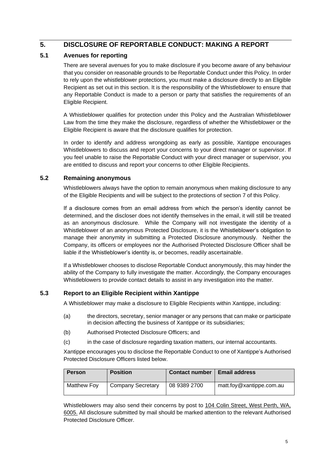# **5. DISCLOSURE OF REPORTABLE CONDUCT: MAKING A REPORT**

## **5.1 Avenues for reporting**

There are several avenues for you to make disclosure if you become aware of any behaviour that you consider on reasonable grounds to be Reportable Conduct under this Policy. In order to rely upon the whistleblower protections, you must make a disclosure directly to an Eligible Recipient as set out in this section. It is the responsibility of the Whistleblower to ensure that any Reportable Conduct is made to a person or party that satisfies the requirements of an Eligible Recipient.

A Whistleblower qualifies for protection under this Policy and the Australian Whistleblower Law from the time they make the disclosure, regardless of whether the Whistleblower or the Eligible Recipient is aware that the disclosure qualifies for protection.

In order to identify and address wrongdoing as early as possible, Xantippe encourages Whistleblowers to discuss and report your concerns to your direct manager or supervisor. If you feel unable to raise the Reportable Conduct with your direct manager or supervisor, you are entitled to discuss and report your concerns to other Eligible Recipients.

## **5.2 Remaining anonymous**

Whistleblowers always have the option to remain anonymous when making disclosure to any of the Eligible Recipients and will be subject to the protections of section 7 of this Policy.

If a disclosure comes from an email address from which the person's identity cannot be determined, and the discloser does not identify themselves in the email, it will still be treated as an anonymous disclosure. While the Company will not investigate the identity of a Whistleblower of an anonymous Protected Disclosure, it is the Whistleblower's obligation to manage their anonymity in submitting a Protected Disclosure anonymously. Neither the Company, its officers or employees nor the Authorised Protected Disclosure Officer shall be liable if the Whistleblower's identity is, or becomes, readily ascertainable.

If a Whistleblower chooses to disclose Reportable Conduct anonymously, this may hinder the ability of the Company to fully investigate the matter. Accordingly, the Company encourages Whistleblowers to provide contact details to assist in any investigation into the matter.

# **5.3 Report to an Eligible Recipient within Xantippe**

A Whistleblower may make a disclosure to Eligible Recipients within Xantippe, including:

- (a) the directors, secretary, senior manager or any persons that can make or participate in decision affecting the business of Xantippe or its subsidiaries;
- (b) Authorised Protected Disclosure Officers; and
- (c) in the case of disclosure regarding taxation matters, our internal accountants.

Xantippe encourages you to disclose the Reportable Conduct to one of Xantippe's Authorised Protected Disclosure Officers listed below.

| <b>Person</b> | <b>Position</b>          | <b>Contact number</b> | <b>Email address</b>     |
|---------------|--------------------------|-----------------------|--------------------------|
| Matthew Foy   | <b>Company Secretary</b> | 08 9389 2700          | matt.foy@xantippe.com.au |

Whistleblowers may also send their concerns by post to 104 Colin Street, West Perth, WA, 6005. All disclosure submitted by mail should be marked attention to the relevant Authorised Protected Disclosure Officer.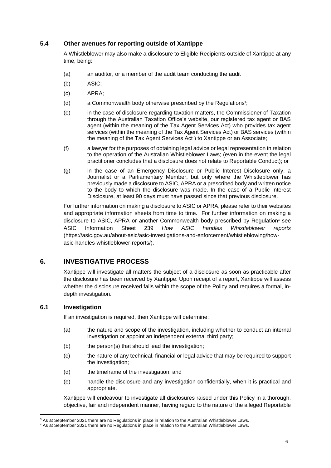## **5.4 Other avenues for reporting outside of Xantippe**

A Whistleblower may also make a disclosure to Eligible Recipients outside of Xantippe at any time, being:

- (a) an auditor, or a member of the audit team conducting the audit
- (b) ASIC;
- (c) APRA;
- (d) a Commonwealth body otherwise prescribed by the Regulations<sup>3</sup>;
- (e) in the case of disclosure regarding taxation matters, the Commissioner of Taxation through the Australian Taxation Office's website, our registered tax agent or BAS agent (within the meaning of the Tax Agent Services Act) who provides tax agent services (within the meaning of the Tax Agent Services Act) or BAS services (within the meaning of the Tax Agent Services Act ) to Xantippe or an Associate;
- (f) a lawyer for the purposes of obtaining legal advice or legal representation in relation to the operation of the Australian Whistleblower Laws; (even in the event the legal practitioner concludes that a disclosure does not relate to Reportable Conduct); or
- (g) in the case of an Emergency Disclosure or Public Interest Disclosure only, a Journalist or a Parliamentary Member, but only where the Whistleblower has previously made a disclosure to ASIC, APRA or a prescribed body and written notice to the body to which the disclosure was made. In the case of a Public Interest Disclosure, at least 90 days must have passed since that previous disclosure.

For further information on making a disclosure to ASIC or APRA, please refer to their websites and appropriate information sheets from time to time. For further information on making a disclosure to ASIC, APRA or another Commonwealth body prescribed by Regulation<sup>4</sup> see ASIC Information Sheet 239 *How ASIC handles Whistleblower reports* (https://asic.gov.au/about-asic/asic-investigations-and-enforcement/whistleblowing/howasic-handles-whistleblower-reports/).

## **6. INVESTIGATIVE PROCESS**

Xantippe will investigate all matters the subject of a disclosure as soon as practicable after the disclosure has been received by Xantippe. Upon receipt of a report, Xantippe will assess whether the disclosure received falls within the scope of the Policy and requires a formal, indepth investigation.

#### **6.1 Investigation**

If an investigation is required, then Xantippe will determine:

- (a) the nature and scope of the investigation, including whether to conduct an internal investigation or appoint an independent external third party;
- (b) the person(s) that should lead the investigation:
- (c) the nature of any technical, financial or legal advice that may be required to support the investigation;
- (d) the timeframe of the investigation; and
- (e) handle the disclosure and any investigation confidentially, when it is practical and appropriate.

Xantippe will endeavour to investigate all disclosures raised under this Policy in a thorough, objective, fair and independent manner, having regard to the nature of the alleged Reportable

<sup>&</sup>lt;sup>3</sup> As at September 2021 there are no Regulations in place in relation to the Australian Whistleblower Laws.

<sup>4</sup> As at September 2021 there are no Regulations in place in relation to the Australian Whistleblower Laws.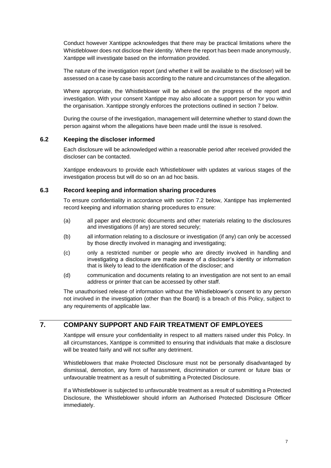Conduct however Xantippe acknowledges that there may be practical limitations where the Whistleblower does not disclose their identity. Where the report has been made anonymously, Xantippe will investigate based on the information provided.

The nature of the investigation report (and whether it will be available to the discloser) will be assessed on a case by case basis according to the nature and circumstances of the allegation.

Where appropriate, the Whistleblower will be advised on the progress of the report and investigation. With your consent Xantippe may also allocate a support person for you within the organisation. Xantippe strongly enforces the protections outlined in section [7](#page-6-0) below.

During the course of the investigation, management will determine whether to stand down the person against whom the allegations have been made until the issue is resolved.

#### **6.2 Keeping the discloser informed**

Each disclosure will be acknowledged within a reasonable period after received provided the discloser can be contacted.

Xantippe endeavours to provide each Whistleblower with updates at various stages of the investigation process but will do so on an ad hoc basis.

#### **6.3 Record keeping and information sharing procedures**

To ensure confidentiality in accordance with section [7.2](#page-7-0) below, Xantippe has implemented record keeping and information sharing procedures to ensure:

- (a) all paper and electronic documents and other materials relating to the disclosures and investigations (if any) are stored securely;
- (b) all information relating to a disclosure or investigation (if any) can only be accessed by those directly involved in managing and investigating;
- (c) only a restricted number or people who are directly involved in handling and investigating a disclosure are made aware of a discloser's identity or information that is likely to lead to the identification of the discloser; and
- (d) communication and documents relating to an investigation are not sent to an email address or printer that can be accessed by other staff.

The unauthorised release of information without the Whistleblower's consent to any person not involved in the investigation (other than the Board) is a breach of this Policy, subject to any requirements of applicable law.

# <span id="page-6-0"></span>**7. COMPANY SUPPORT AND FAIR TREATMENT OF EMPLOYEES**

Xantippe will ensure your confidentiality in respect to all matters raised under this Policy. In all circumstances, Xantippe is committed to ensuring that individuals that make a disclosure will be treated fairly and will not suffer any detriment.

Whistleblowers that make Protected Disclosure must not be personally disadvantaged by dismissal, demotion, any form of harassment, discrimination or current or future bias or unfavourable treatment as a result of submitting a Protected Disclosure.

If a Whistleblower is subjected to unfavourable treatment as a result of submitting a Protected Disclosure, the Whistleblower should inform an Authorised Protected Disclosure Officer immediately.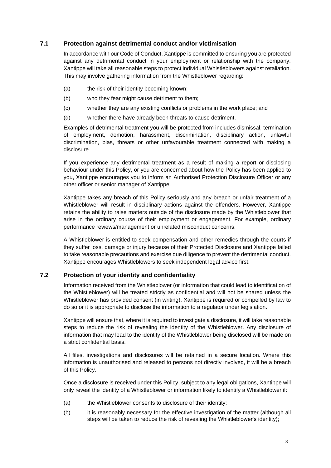#### **7.1 Protection against detrimental conduct and/or victimisation**

In accordance with our Code of Conduct, Xantippe is committed to ensuring you are protected against any detrimental conduct in your employment or relationship with the company. Xantippe will take all reasonable steps to protect individual Whistleblowers against retaliation. This may involve gathering information from the Whistleblower regarding:

- (a) the risk of their identity becoming known;
- (b) who they fear might cause detriment to them;
- (c) whether they are any existing conflicts or problems in the work place; and
- (d) whether there have already been threats to cause detriment.

Examples of detrimental treatment you will be protected from includes dismissal, termination of employment, demotion, harassment, discrimination, disciplinary action, unlawful discrimination, bias, threats or other unfavourable treatment connected with making a disclosure.

If you experience any detrimental treatment as a result of making a report or disclosing behaviour under this Policy, or you are concerned about how the Policy has been applied to you, Xantippe encourages you to inform an Authorised Protection Disclosure Officer or any other officer or senior manager of Xantippe.

Xantippe takes any breach of this Policy seriously and any breach or unfair treatment of a Whistleblower will result in disciplinary actions against the offenders. However, Xantippe retains the ability to raise matters outside of the disclosure made by the Whistleblower that arise in the ordinary course of their employment or engagement. For example, ordinary performance reviews/management or unrelated misconduct concerns.

A Whistleblower is entitled to seek compensation and other remedies through the courts if they suffer loss, damage or injury because of their Protected Disclosure and Xantippe failed to take reasonable precautions and exercise due diligence to prevent the detrimental conduct. Xantippe encourages Whistleblowers to seek independent legal advice first.

#### <span id="page-7-0"></span>**7.2 Protection of your identity and confidentiality**

Information received from the Whistleblower (or information that could lead to identification of the Whistleblower) will be treated strictly as confidential and will not be shared unless the Whistleblower has provided consent (in writing), Xantippe is required or compelled by law to do so or it is appropriate to disclose the information to a regulator under legislation.

Xantippe will ensure that, where it is required to investigate a disclosure, it will take reasonable steps to reduce the risk of revealing the identity of the Whistleblower. Any disclosure of information that may lead to the identity of the Whistleblower being disclosed will be made on a strict confidential basis.

All files, investigations and disclosures will be retained in a secure location. Where this information is unauthorised and released to persons not directly involved, it will be a breach of this Policy.

Once a disclosure is received under this Policy, subject to any legal obligations, Xantippe will only reveal the identity of a Whistleblower or information likely to identify a Whistleblower if:

- (a) the Whistleblower consents to disclosure of their identity;
- (b) it is reasonably necessary for the effective investigation of the matter (although all steps will be taken to reduce the risk of revealing the Whistleblower's identity);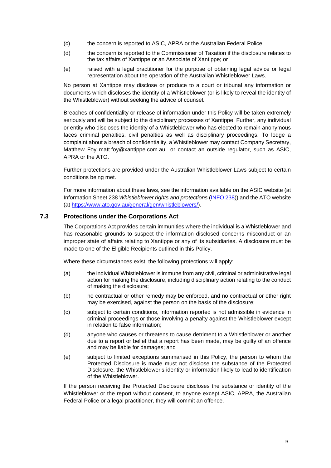- (c) the concern is reported to ASIC, APRA or the Australian Federal Police;
- (d) the concern is reported to the Commissioner of Taxation if the disclosure relates to the tax affairs of Xantippe or an Associate of Xantippe; or
- (e) raised with a legal practitioner for the purpose of obtaining legal advice or legal representation about the operation of the Australian Whistleblower Laws.

No person at Xantippe may disclose or produce to a court or tribunal any information or documents which discloses the identity of a Whistleblower (or is likely to reveal the identity of the Whistleblower) without seeking the advice of counsel.

Breaches of confidentiality or release of information under this Policy will be taken extremely seriously and will be subject to the disciplinary processes of Xantippe. Further, any individual or entity who discloses the identity of a Whistleblower who has elected to remain anonymous faces criminal penalties, civil penalties as well as disciplinary proceedings. To lodge a complaint about a breach of confidentiality, a Whistleblower may contact Company Secretary, Matthew Foy matt.foy@xantippe.com.au or contact an outside regulator, such as ASIC, APRA or the ATO.

Further protections are provided under the Australian Whistleblower Laws subject to certain conditions being met.

For more information about these laws, see the information available on the ASIC website (at Information Sheet 238 *Whistleblower rights and protections* [\(INFO 238\)](INFO%20238)) and the ATO website (at [https://www.ato.gov.au/general/gen/whistleblowers/\)](https://www.ato.gov.au/general/gen/whistleblowers/).

#### <span id="page-8-0"></span>**7.3 Protections under the Corporations Act**

The Corporations Act provides certain immunities where the individual is a Whistleblower and has reasonable grounds to suspect the information disclosed concerns misconduct or an improper state of affairs relating to Xantippe or any of its subsidiaries. A disclosure must be made to one of the Eligible Recipients outlined in this Policy.

Where these circumstances exist, the following protections will apply:

- (a) the individual Whistleblower is immune from any civil, criminal or administrative legal action for making the disclosure, including disciplinary action relating to the conduct of making the disclosure;
- (b) no contractual or other remedy may be enforced, and no contractual or other right may be exercised, against the person on the basis of the disclosure;
- (c) subject to certain conditions, information reported is not admissible in evidence in criminal proceedings or those involving a penalty against the Whistleblower except in relation to false information;
- (d) anyone who causes or threatens to cause detriment to a Whistleblower or another due to a report or belief that a report has been made, may be guilty of an offence and may be liable for damages; and
- (e) subject to limited exceptions summarised in this Policy, the person to whom the Protected Disclosure is made must not disclose the substance of the Protected Disclosure, the Whistleblower's identity or information likely to lead to identification of the Whistleblower.

If the person receiving the Protected Disclosure discloses the substance or identity of the Whistleblower or the report without consent, to anyone except ASIC, APRA, the Australian Federal Police or a legal practitioner, they will commit an offence.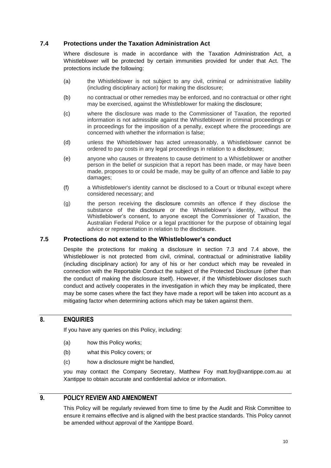## <span id="page-9-0"></span>**7.4 Protections under the Taxation Administration Act**

Where disclosure is made in accordance with the Taxation Administration Act, a Whistleblower will be protected by certain immunities provided for under that Act. The protections include the following:

- (a) the Whistleblower is not subject to any civil, criminal or administrative liability (including disciplinary action) for making the disclosure;
- (b) no contractual or other remedies may be enforced, and no contractual or other right may be exercised, against the Whistleblower for making the disclosure;
- (c) where the disclosure was made to the Commissioner of Taxation, the reported information is not admissible against the Whistleblower in criminal proceedings or in proceedings for the imposition of a penalty, except where the proceedings are concerned with whether the information is false;
- (d) unless the Whistleblower has acted unreasonably, a Whistleblower cannot be ordered to pay costs in any legal proceedings in relation to a disclosure;
- (e) anyone who causes or threatens to cause detriment to a Whistleblower or another person in the belief or suspicion that a report has been made, or may have been made, proposes to or could be made, may be guilty of an offence and liable to pay damages;
- (f) a Whistleblower's identity cannot be disclosed to a Court or tribunal except where considered necessary; and
- (g) the person receiving the disclosure commits an offence if they disclose the substance of the disclosure or the Whistleblower's identity, without the Whistleblower's consent, to anyone except the Commissioner of Taxation, the Australian Federal Police or a legal practitioner for the purpose of obtaining legal advice or representation in relation to the disclosure.

#### **7.5 Protections do not extend to the Whistleblower's conduct**

Despite the protections for making a disclosure in section [7.3](#page-8-0) and [7.4](#page-9-0) above, the Whistleblower is not protected from civil, criminal, contractual or administrative liability (including disciplinary action) for any of his or her conduct which may be revealed in connection with the Reportable Conduct the subject of the Protected Disclosure (other than the conduct of making the disclosure itself). However, if the Whistleblower discloses such conduct and actively cooperates in the investigation in which they may be implicated, there may be some cases where the fact they have made a report will be taken into account as a mitigating factor when determining actions which may be taken against them.

# **8. ENQUIRIES**

If you have any queries on this Policy, including:

- (a) how this Policy works;
- (b) what this Policy covers; or
- (c) how a disclosure might be handled,

you may contact the Company Secretary, Matthew Foy matt.foy@xantippe.com.au at Xantippe to obtain accurate and confidential advice or information.

# **9. POLICY REVIEW AND AMENDMENT**

This Policy will be regularly reviewed from time to time by the Audit and Risk Committee to ensure it remains effective and is aligned with the best practice standards. This Policy cannot be amended without approval of the Xantippe Board.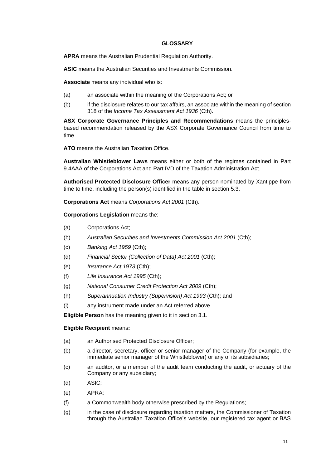#### **GLOSSARY**

**APRA** means the Australian Prudential Regulation Authority.

**ASIC** means the Australian Securities and Investments Commission.

**Associate** means any individual who is:

- (a) an associate within the meaning of the Corporations Act; or
- (b) if the disclosure relates to our tax affairs, an associate within the meaning of section 318 of the *Income Tax Assessment Act 1936* (Cth).

**ASX Corporate Governance Principles and Recommendations** means the principlesbased recommendation released by the ASX Corporate Governance Council from time to time.

**ATO** means the Australian Taxation Office.

**Australian Whistleblower Laws** means either or both of the regimes contained in Part 9.4AAA of the Corporations Act and Part IVD of the Taxation Administration Act.

**Authorised Protected Disclosure Officer** means any person nominated by Xantippe from time to time, including the person(s) identified in the table in section 5.3.

**Corporations Act** means *Corporations Act 2001* (Cth).

**Corporations Legislation** means the:

- (a) Corporations Act;
- (b) *Australian Securities and Investments Commission Act 2001* (Cth);
- (c) *Banking Act 1959* (Cth);
- (d) *Financial Sector (Collection of Data) Act 2001* (Cth);
- (e) *Insurance Act 1973* (Cth);
- (f) *Life Insurance Act 1995* (Cth);
- (g) *National Consumer Credit Protection Act 2009* (Cth);
- (h) *Superannuation Industry (Supervision) Act 1993* (Cth); and
- (i) any instrument made under an Act referred above.

**Eligible Person** has the meaning given to it in section 3.1.

#### **Eligible Recipient** means**:**

- (a) an Authorised Protected Disclosure Officer;
- (b) a director, secretary, officer or senior manager of the Company (for example, the immediate senior manager of the Whistleblower) or any of its subsidiaries;
- (c) an auditor, or a member of the audit team conducting the audit, or actuary of the Company or any subsidiary;
- (d) ASIC;
- (e) APRA;
- (f) a Commonwealth body otherwise prescribed by the Regulations;
- (g) in the case of disclosure regarding taxation matters, the Commissioner of Taxation through the Australian Taxation Office's website, our registered tax agent or BAS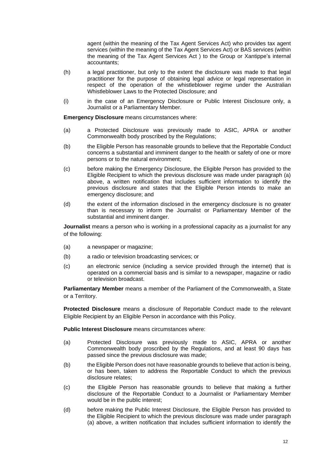agent (within the meaning of the Tax Agent Services Act) who provides tax agent services (within the meaning of the Tax Agent Services Act) or BAS services (within the meaning of the Tax Agent Services Act ) to the Group or Xantippe's internal accountants;

- (h) a legal practitioner, but only to the extent the disclosure was made to that legal practitioner for the purpose of obtaining legal advice or legal representation in respect of the operation of the whistleblower regime under the Australian Whistleblower Laws to the Protected Disclosure; and
- (i) in the case of an Emergency Disclosure or Public Interest Disclosure only, a Journalist or a Parliamentary Member.

**Emergency Disclosure** means circumstances where:

- (a) a Protected Disclosure was previously made to ASIC, APRA or another Commonwealth body proscribed by the Regulations;
- (b) the Eligible Person has reasonable grounds to believe that the Reportable Conduct concerns a substantial and imminent danger to the health or safety of one or more persons or to the natural environment;
- (c) before making the Emergency Disclosure, the Eligible Person has provided to the Eligible Recipient to which the previous disclosure was made under paragraph (a) above, a written notification that includes sufficient information to identify the previous disclosure and states that the Eligible Person intends to make an emergency disclosure; and
- (d) the extent of the information disclosed in the emergency disclosure is no greater than is necessary to inform the Journalist or Parliamentary Member of the substantial and imminent danger.

**Journalist** means a person who is working in a professional capacity as a journalist for any of the following:

- (a) a newspaper or magazine;
- (b) a radio or television broadcasting services; or
- (c) an electronic service (including a service provided through the internet) that is operated on a commercial basis and is similar to a newspaper, magazine or radio or television broadcast.

**Parliamentary Member** means a member of the Parliament of the Commonwealth, a State or a Territory.

**Protected Disclosure** means a disclosure of Reportable Conduct made to the relevant Eligible Recipient by an Eligible Person in accordance with this Policy.

**Public Interest Disclosure** means circumstances where:

- (a) Protected Disclosure was previously made to ASIC, APRA or another Commonwealth body proscribed by the Regulations, and at least 90 days has passed since the previous disclosure was made;
- (b) the Eligible Person does not have reasonable grounds to believe that action is being, or has been, taken to address the Reportable Conduct to which the previous disclosure relates;
- (c) the Eligible Person has reasonable grounds to believe that making a further disclosure of the Reportable Conduct to a Journalist or Parliamentary Member would be in the public interest;
- (d) before making the Public Interest Disclosure, the Eligible Person has provided to the Eligible Recipient to which the previous disclosure was made under paragraph (a) above, a written notification that includes sufficient information to identify the